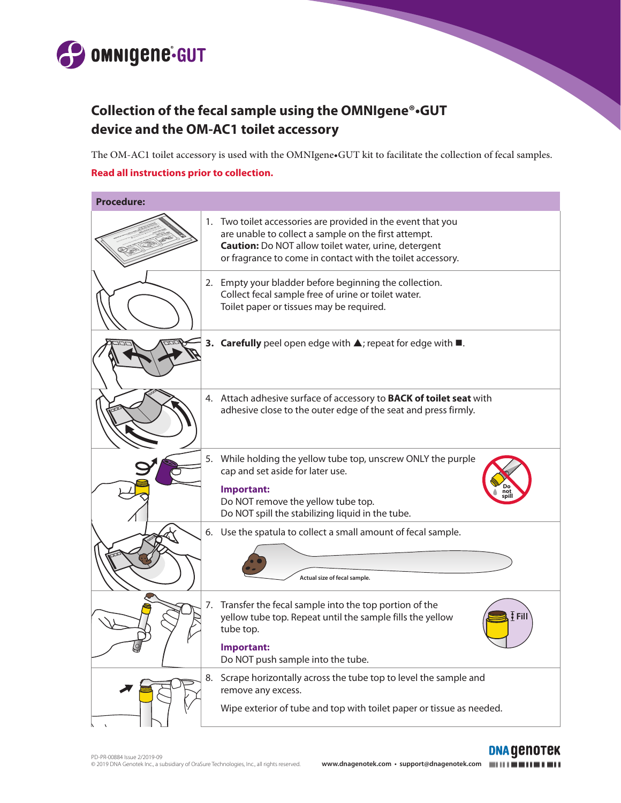

## **Collection of the fecal sample using the OMNIgene®•GUT device and the OM-AC1 toilet accessory**

The OM-AC1 toilet accessory is used with the OMNIgene•GUT kit to facilitate the collection of fecal samples.

## **Read all instructions prior to collection.**

| <b>Procedure:</b> |    |                                                                                                                                                                                                                                                   |
|-------------------|----|---------------------------------------------------------------------------------------------------------------------------------------------------------------------------------------------------------------------------------------------------|
|                   |    | 1. Two toilet accessories are provided in the event that you<br>are unable to collect a sample on the first attempt.<br><b>Caution:</b> Do NOT allow toilet water, urine, detergent<br>or fragrance to come in contact with the toilet accessory. |
|                   |    | 2. Empty your bladder before beginning the collection.<br>Collect fecal sample free of urine or toilet water.<br>Toilet paper or tissues may be required.                                                                                         |
|                   |    | 3. Carefully peel open edge with $\triangle$ ; repeat for edge with $\blacksquare$ .                                                                                                                                                              |
|                   |    | 4. Attach adhesive surface of accessory to <b>BACK of toilet seat</b> with<br>adhesive close to the outer edge of the seat and press firmly.                                                                                                      |
|                   | 5. | While holding the yellow tube top, unscrew ONLY the purple<br>cap and set aside for later use.<br>Important:<br>Do NOT remove the yellow tube top.<br>Do NOT spill the stabilizing liquid in the tube.                                            |
|                   |    | 6. Use the spatula to collect a small amount of fecal sample.<br>Actual size of fecal sample.                                                                                                                                                     |
|                   |    | 7. Transfer the fecal sample into the top portion of the<br>Fil<br>yellow tube top. Repeat until the sample fills the yellow<br>tube top.<br>Important:<br>Do NOT push sample into the tube.                                                      |
|                   | 8. | Scrape horizontally across the tube top to level the sample and<br>remove any excess.<br>Wipe exterior of tube and top with toilet paper or tissue as needed.                                                                                     |